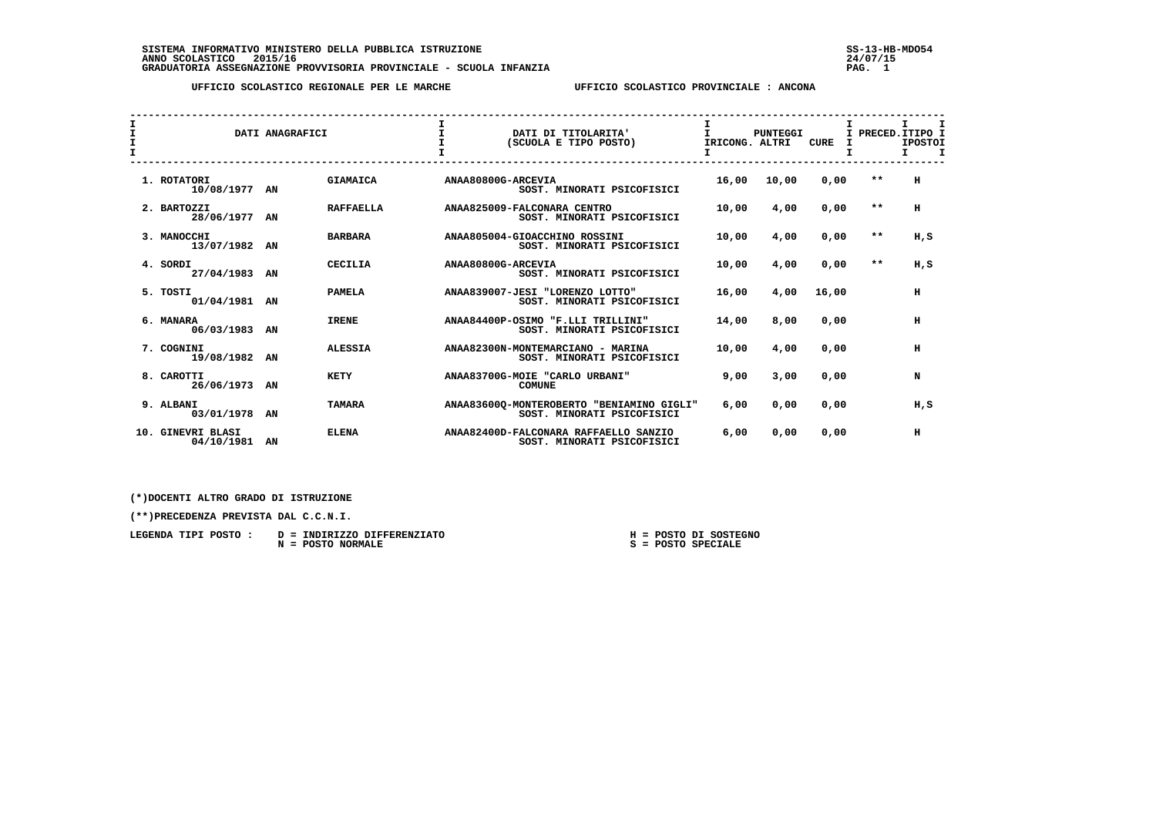SISTEMA INFORMATIVO MINISTERO DELLA PUBBLICA ISTRUZIONE<br>ANNO SCOLASTICO 2015/16<br>GRADUATORIA ASSEGNAZIONE PROVVISORIA PROVINCIALE - SCUOLA INFANZIA PROVINCIA PROVISORIA PAG. 1

 **UFFICIO SCOLASTICO REGIONALE PER LE MARCHE UFFICIO SCOLASTICO PROVINCIALE : ANCONA**

| T.<br>$\mathbf{T}$<br>$\mathbf{T}$ |                                 | DATI ANAGRAFICI |                  |                    | DATI DI TITOLARITA'<br>(SCUOLA E TIPO POSTO)                            | Τ.<br>IRICONG. ALTRI | <b>PUNTEGGI</b> | CURE  | I PRECED. ITIPO I | I.<br><b>IPOSTOI</b><br>I. | I<br>I |
|------------------------------------|---------------------------------|-----------------|------------------|--------------------|-------------------------------------------------------------------------|----------------------|-----------------|-------|-------------------|----------------------------|--------|
|                                    | 1. ROTATORI<br>10/08/1977 AN    |                 | <b>GIAMAICA</b>  | ANAA80800G-ARCEVIA | SOST. MINORATI PSICOFISICI                                              | 16,00                | 10,00           | 0,00  | $* *$             | н                          |        |
|                                    | 2. BARTOZZI<br>28/06/1977 AN    |                 | <b>RAFFAELLA</b> |                    | ANAA825009-FALCONARA CENTRO<br>SOST. MINORATI PSICOFISICI               | 10,00                | 4,00            | 0,00  | $* *$             | н                          |        |
|                                    | 3. MANOCCHI<br>13/07/1982 AN    |                 | <b>BARBARA</b>   |                    | ANAA805004-GIOACCHINO ROSSINI<br>SOST. MINORATI PSICOFISICI             | 10,00                | 4,00            | 0,00  | $***$             | H,S                        |        |
|                                    | 4. SORDI<br>27/04/1983          | AN              | <b>CECILIA</b>   | ANAA80800G-ARCEVIA | SOST. MINORATI PSICOFISICI                                              | 10,00                | 4,00            | 0,00  | $* *$             | H.S                        |        |
|                                    | 5. TOSTI<br>01/04/1981          | AN              | <b>PAMELA</b>    |                    | ANAA839007-JESI "LORENZO LOTTO"<br>SOST. MINORATI PSICOFISICI           | 16,00                | 4,00            | 16,00 |                   | н                          |        |
|                                    | 6. MANARA<br>06/03/1983 AN      |                 | <b>IRENE</b>     |                    | ANAA84400P-OSIMO "F.LLI TRILLINI"<br>SOST. MINORATI PSICOFISICI         | 14,00                | 8,00            | 0.00  |                   | н                          |        |
|                                    | 7. COGNINI<br>19/08/1982 AN     |                 | <b>ALESSIA</b>   |                    | ANAA82300N-MONTEMARCIANO - MARINA<br>SOST. MINORATI PSICOFISICI         | 10,00                | 4,00            | 0,00  |                   | н                          |        |
|                                    | 8. CAROTTI<br>26/06/1973 AN     |                 | <b>KETY</b>      |                    | ANAA83700G-MOIE "CARLO URBANI"<br><b>COMUNE</b>                         | 9,00                 | 3,00            | 0.00  |                   | N                          |        |
|                                    | 9. ALBANI<br>03/01/1978 AN      |                 | <b>TAMARA</b>    |                    | ANAA83600Q-MONTEROBERTO "BENIAMINO GIGLI"<br>SOST. MINORATI PSICOFISICI | 6,00                 | 0,00            | 0,00  |                   | H,S                        |        |
|                                    | 10. GINEVRI BLASI<br>04/10/1981 | ΑN              | <b>ELENA</b>     |                    | ANAA82400D-FALCONARA RAFFAELLO SANZIO<br>SOST. MINORATI PSICOFISICI     | 6,00                 | 0,00            | 0,00  |                   | н                          |        |

 **(\*)DOCENTI ALTRO GRADO DI ISTRUZIONE**

 **(\*\*)PRECEDENZA PREVISTA DAL C.C.N.I.**

| LEGENDA TIPI POSTO : D = INDIRIZZO DIFFERENZIATO | H = POSTO DI SOSTEGNO |
|--------------------------------------------------|-----------------------|
| N = POSTO NORMALE                                | S = POSTO SPECIALE    |